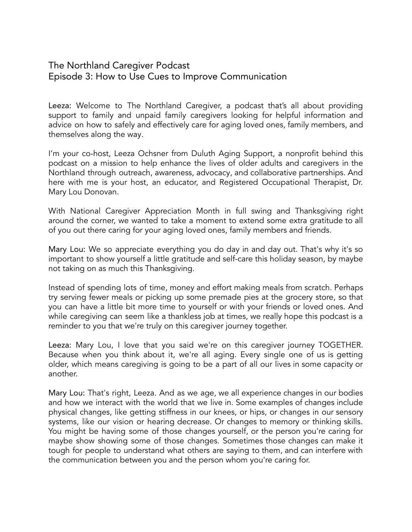## The Northland Caregiver Podcast Episode 3: How to Use Cues to Improve Communication

Leeza: Welcome to The Northland Caregiver, a podcast that's all about providing support to family and unpaid family caregivers looking for helpful information and advice on how to safely and effectively care for aging loved ones, family members, and themselves along the way.

I'm your co-host, Leeza Ochsner from Duluth Aging Support, a nonprofit behind this podcast on a mission to help enhance the lives of older adults and caregivers in the Northland through outreach, awareness, advocacy, and collaborative partnerships. And here with me is your host, an educator, and Registered Occupational Therapist, Dr. Mary Lou Donovan.

With National Caregiver Appreciation Month in full swing and Thanksgiving right around the corner, we wanted to take a moment to extend some extra gratitude to all of you out there caring for your aging loved ones, family members and friends.

Mary Lou: We so appreciate everything you do day in and day out. That's why it's so important to show yourself a little gratitude and self-care this holiday season, by maybe not taking on as much this Thanksgiving.

Instead of spending lots of time, money and effort making meals from scratch. Perhaps try serving fewer meals or picking up some premade pies at the grocery store, so that you can have a little bit more time to yourself or with your friends or loved ones. And while caregiving can seem like a thankless job at times, we really hope this podcast is a reminder to you that we're truly on this caregiver journey together.

Leeza: Mary Lou, I love that you said we're on this caregiver journey TOGETHER. Because when you think about it, we're all aging. Every single one of us is getting older, which means caregiving is going to be a part of all our lives in some capacity or another.

Mary Lou: That's right, Leeza. And as we age, we all experience changes in our bodies and how we interact with the world that we live in. Some examples of changes include physical changes, like getting stiffness in our knees, or hips, or changes in our sensory systems, like our vision or hearing decrease. Or changes to memory or thinking skills. You might be having some of those changes yourself, or the person you're caring for maybe show showing some of those changes. Sometimes those changes can make it tough for people to understand what others are saying to them, and can interfere with the communication between you and the person whom you're caring for.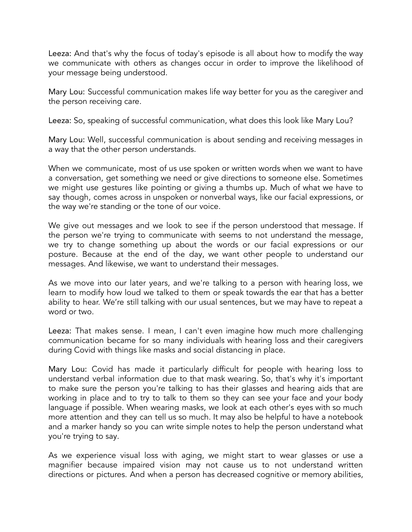Leeza: And that's why the focus of today's episode is all about how to modify the way we communicate with others as changes occur in order to improve the likelihood of your message being understood.

Mary Lou: Successful communication makes life way better for you as the caregiver and the person receiving care.

Leeza: So, speaking of successful communication, what does this look like Mary Lou?

Mary Lou: Well, successful communication is about sending and receiving messages in a way that the other person understands.

When we communicate, most of us use spoken or written words when we want to have a conversation, get something we need or give directions to someone else. Sometimes we might use gestures like pointing or giving a thumbs up. Much of what we have to say though, comes across in unspoken or nonverbal ways, like our facial expressions, or the way we're standing or the tone of our voice.

We give out messages and we look to see if the person understood that message. If the person we're trying to communicate with seems to not understand the message, we try to change something up about the words or our facial expressions or our posture. Because at the end of the day, we want other people to understand our messages. And likewise, we want to understand their messages.

As we move into our later years, and we're talking to a person with hearing loss, we learn to modify how loud we talked to them or speak towards the ear that has a better ability to hear. We're still talking with our usual sentences, but we may have to repeat a word or two.

Leeza: That makes sense. I mean, I can't even imagine how much more challenging communication became for so many individuals with hearing loss and their caregivers during Covid with things like masks and social distancing in place.

Mary Lou: Covid has made it particularly difficult for people with hearing loss to understand verbal information due to that mask wearing. So, that's why it's important to make sure the person you're talking to has their glasses and hearing aids that are working in place and to try to talk to them so they can see your face and your body language if possible. When wearing masks, we look at each other's eyes with so much more attention and they can tell us so much. It may also be helpful to have a notebook and a marker handy so you can write simple notes to help the person understand what you're trying to say.

As we experience visual loss with aging, we might start to wear glasses or use a magnifier because impaired vision may not cause us to not understand written directions or pictures. And when a person has decreased cognitive or memory abilities,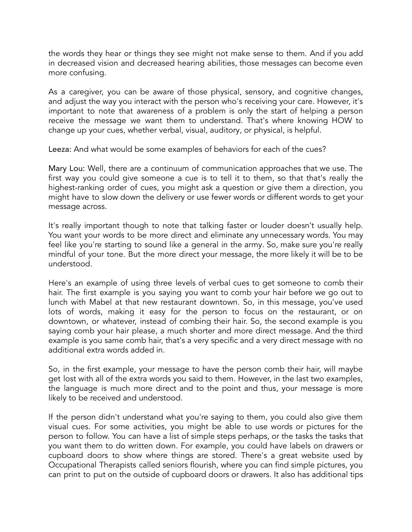the words they hear or things they see might not make sense to them. And if you add in decreased vision and decreased hearing abilities, those messages can become even more confusing.

As a caregiver, you can be aware of those physical, sensory, and cognitive changes, and adjust the way you interact with the person who's receiving your care. However, it's important to note that awareness of a problem is only the start of helping a person receive the message we want them to understand. That's where knowing HOW to change up your cues, whether verbal, visual, auditory, or physical, is helpful.

Leeza: And what would be some examples of behaviors for each of the cues?

Mary Lou: Well, there are a continuum of communication approaches that we use. The first way you could give someone a cue is to tell it to them, so that that's really the highest-ranking order of cues, you might ask a question or give them a direction, you might have to slow down the delivery or use fewer words or different words to get your message across.

It's really important though to note that talking faster or louder doesn't usually help. You want your words to be more direct and eliminate any unnecessary words. You may feel like you're starting to sound like a general in the army. So, make sure you're really mindful of your tone. But the more direct your message, the more likely it will be to be understood.

Here's an example of using three levels of verbal cues to get someone to comb their hair. The first example is you saying you want to comb your hair before we go out to lunch with Mabel at that new restaurant downtown. So, in this message, you've used lots of words, making it easy for the person to focus on the restaurant, or on downtown, or whatever, instead of combing their hair. So, the second example is you saying comb your hair please, a much shorter and more direct message. And the third example is you same comb hair, that's a very specific and a very direct message with no additional extra words added in.

So, in the first example, your message to have the person comb their hair, will maybe get lost with all of the extra words you said to them. However, in the last two examples, the language is much more direct and to the point and thus, your message is more likely to be received and understood.

If the person didn't understand what you're saying to them, you could also give them visual cues. For some activities, you might be able to use words or pictures for the person to follow. You can have a list of simple steps perhaps, or the tasks the tasks that you want them to do written down. For example, you could have labels on drawers or cupboard doors to show where things are stored. There's a great website used by Occupational Therapists called seniors flourish, where you can find simple pictures, you can print to put on the outside of cupboard doors or drawers. It also has additional tips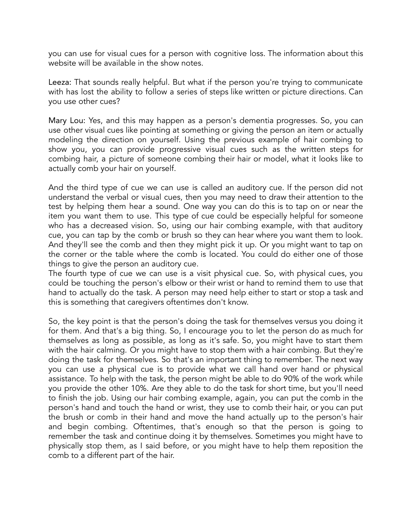you can use for visual cues for a person with cognitive loss. The information about this website will be available in the show notes.

Leeza: That sounds really helpful. But what if the person you're trying to communicate with has lost the ability to follow a series of steps like written or picture directions. Can you use other cues?

Mary Lou: Yes, and this may happen as a person's dementia progresses. So, you can use other visual cues like pointing at something or giving the person an item or actually modeling the direction on yourself. Using the previous example of hair combing to show you, you can provide progressive visual cues such as the written steps for combing hair, a picture of someone combing their hair or model, what it looks like to actually comb your hair on yourself.

And the third type of cue we can use is called an auditory cue. If the person did not understand the verbal or visual cues, then you may need to draw their attention to the test by helping them hear a sound. One way you can do this is to tap on or near the item you want them to use. This type of cue could be especially helpful for someone who has a decreased vision. So, using our hair combing example, with that auditory cue, you can tap by the comb or brush so they can hear where you want them to look. And they'll see the comb and then they might pick it up. Or you might want to tap on the corner or the table where the comb is located. You could do either one of those things to give the person an auditory cue.

The fourth type of cue we can use is a visit physical cue. So, with physical cues, you could be touching the person's elbow or their wrist or hand to remind them to use that hand to actually do the task. A person may need help either to start or stop a task and this is something that caregivers oftentimes don't know.

So, the key point is that the person's doing the task for themselves versus you doing it for them. And that's a big thing. So, I encourage you to let the person do as much for themselves as long as possible, as long as it's safe. So, you might have to start them with the hair calming. Or you might have to stop them with a hair combing. But they're doing the task for themselves. So that's an important thing to remember. The next way you can use a physical cue is to provide what we call hand over hand or physical assistance. To help with the task, the person might be able to do 90% of the work while you provide the other 10%. Are they able to do the task for short time, but you'll need to finish the job. Using our hair combing example, again, you can put the comb in the person's hand and touch the hand or wrist, they use to comb their hair, or you can put the brush or comb in their hand and move the hand actually up to the person's hair and begin combing. Oftentimes, that's enough so that the person is going to remember the task and continue doing it by themselves. Sometimes you might have to physically stop them, as I said before, or you might have to help them reposition the comb to a different part of the hair.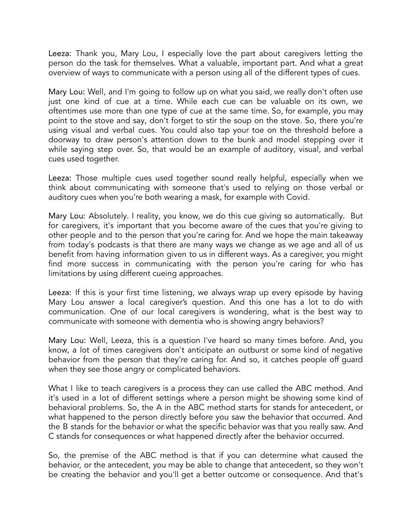Leeza: Thank you, Mary Lou, I especially love the part about caregivers letting the person do the task for themselves. What a valuable, important part. And what a great overview of ways to communicate with a person using all of the different types of cues.

Mary Lou: Well, and I'm going to follow up on what you said, we really don't often use just one kind of cue at a time. While each cue can be valuable on its own, we oftentimes use more than one type of cue at the same time. So, for example, you may point to the stove and say, don't forget to stir the soup on the stove. So, there you're using visual and verbal cues. You could also tap your toe on the threshold before a doorway to draw person's attention down to the bunk and model stepping over it while saying step over. So, that would be an example of auditory, visual, and verbal cues used together.

Leeza: Those multiple cues used together sound really helpful, especially when we think about communicating with someone that's used to relying on those verbal or auditory cues when you're both wearing a mask, for example with Covid.

Mary Lou: Absolutely. I reality, you know, we do this cue giving so automatically. But for caregivers, it's important that you become aware of the cues that you're giving to other people and to the person that you're caring for. And we hope the main takeaway from today's podcasts is that there are many ways we change as we age and all of us benefit from having information given to us in different ways. As a caregiver, you might find more success in communicating with the person you're caring for who has limitations by using different cueing approaches.

Leeza: If this is your first time listening, we always wrap up every episode by having Mary Lou answer a local caregiver's question. And this one has a lot to do with communication. One of our local caregivers is wondering, what is the best way to communicate with someone with dementia who is showing angry behaviors?

Mary Lou: Well, Leeza, this is a question I've heard so many times before. And, you know, a lot of times caregivers don't anticipate an outburst or some kind of negative behavior from the person that they're caring for. And so, it catches people off guard when they see those angry or complicated behaviors.

What I like to teach caregivers is a process they can use called the ABC method. And it's used in a lot of different settings where a person might be showing some kind of behavioral problems. So, the A in the ABC method starts for stands for antecedent, or what happened to the person directly before you saw the behavior that occurred. And the B stands for the behavior or what the specific behavior was that you really saw. And C stands for consequences or what happened directly after the behavior occurred.

So, the premise of the ABC method is that if you can determine what caused the behavior, or the antecedent, you may be able to change that antecedent, so they won't be creating the behavior and you'll get a better outcome or consequence. And that's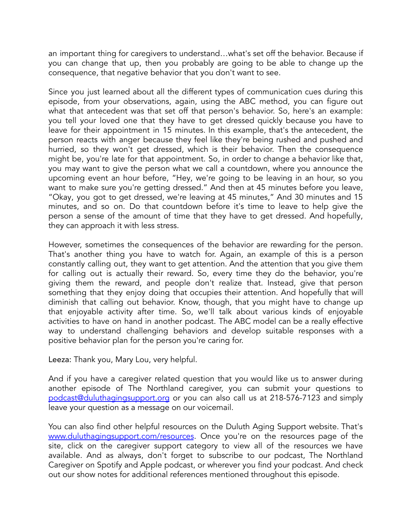an important thing for caregivers to understand…what's set off the behavior. Because if you can change that up, then you probably are going to be able to change up the consequence, that negative behavior that you don't want to see.

Since you just learned about all the different types of communication cues during this episode, from your observations, again, using the ABC method, you can figure out what that antecedent was that set off that person's behavior. So, here's an example: you tell your loved one that they have to get dressed quickly because you have to leave for their appointment in 15 minutes. In this example, that's the antecedent, the person reacts with anger because they feel like they're being rushed and pushed and hurried, so they won't get dressed, which is their behavior. Then the consequence might be, you're late for that appointment. So, in order to change a behavior like that, you may want to give the person what we call a countdown, where you announce the upcoming event an hour before, "Hey, we're going to be leaving in an hour, so you want to make sure you're getting dressed." And then at 45 minutes before you leave, "Okay, you got to get dressed, we're leaving at 45 minutes," And 30 minutes and 15 minutes, and so on. Do that countdown before it's time to leave to help give the person a sense of the amount of time that they have to get dressed. And hopefully, they can approach it with less stress.

However, sometimes the consequences of the behavior are rewarding for the person. That's another thing you have to watch for. Again, an example of this is a person constantly calling out, they want to get attention. And the attention that you give them for calling out is actually their reward. So, every time they do the behavior, you're giving them the reward, and people don't realize that. Instead, give that person something that they enjoy doing that occupies their attention. And hopefully that will diminish that calling out behavior. Know, though, that you might have to change up that enjoyable activity after time. So, we'll talk about various kinds of enjoyable activities to have on hand in another podcast. The ABC model can be a really effective way to understand challenging behaviors and develop suitable responses with a positive behavior plan for the person you're caring for.

Leeza: Thank you, Mary Lou, very helpful.

And if you have a caregiver related question that you would like us to answer during another episode of The Northland caregiver, you can submit your questions to [podcast@duluthagingsupport.org](mailto:podcast@duluthagingsupport.org) or you can also call us at 218-576-7123 and simply leave your question as a message on our voicemail.

You can also find other helpful resources on the Duluth Aging Support website. That's [www.duluthagingsupport.com/resources](http://www.duluthagingsupport.com/resources). Once you're on the resources page of the site, click on the caregiver support category to view all of the resources we have available. And as always, don't forget to subscribe to our podcast, The Northland Caregiver on Spotify and Apple podcast, or wherever you find your podcast. And check out our show notes for additional references mentioned throughout this episode.